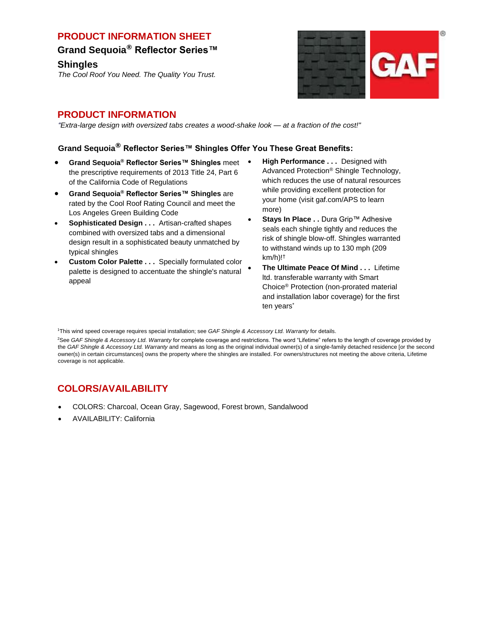### **PRODUCT INFORMATION SHEET**

**Grand Sequoia® Reflector Series™** 

#### **Shingles**

*The Cool Roof You Need. The Quality You Trust.* 



### **PRODUCT INFORMATION**

*"Extra-large design with oversized tabs creates a wood-shake look — at a fraction of the cost!"*

### **Grand Sequoia® Reflector Series™ Shingles Offer You These Great Benefits:**

- **Grand Sequoia® Reflector Series™ Shingles** meet the prescriptive requirements of 2013 Title 24, Part 6 of the California Code of Regulations
- **Grand Sequoia® Reflector Series™ Shingles** are rated by the Cool Roof Rating Council and meet the Los Angeles Green Building Code
- **Sophisticated Design . . .** Artisan-crafted shapes combined with oversized tabs and a dimensional design result in a sophisticated beauty unmatched by typical shingles
- **Custom Color Palette . . .** Specially formulated color palette is designed to accentuate the shingle's natural appeal
- **High Performance . . .** Designed with Advanced Protection® Shingle Technology, which reduces the use of natural resources while providing excellent protection for your home (visit gaf.com/APS to learn more)
- **Stays In Place . .** Dura Grip™ Adhesive seals each shingle tightly and reduces the risk of shingle blow-off. Shingles warranted to withstand winds up to 130 mph (209 km/h)!†
- **The Ultimate Peace Of Mind . . .** Lifetime ltd. transferable warranty with Smart Choice® Protection (non-prorated material and installation labor coverage) for the first ten years<sup>\*</sup>

<sup>1</sup>This wind speed coverage requires special installation; see *GAF Shingle & Accessory Ltd. Warranty* for details.

<sup>2</sup>See *GAF Shingle & Accessory Ltd. Warranty* for complete coverage and restrictions. The word "Lifetime" refers to the length of coverage provided by the *GAF Shingle & Accessory Ltd. Warranty* and means as long as the original individual owner(s) of a single-family detached residence [or the second owner(s) in certain circumstances] owns the property where the shingles are installed. For owners/structures not meeting the above criteria, Lifetime coverage is not applicable.

# **COLORS/AVAILABILITY**

- COLORS: Charcoal, Ocean Gray, Sagewood, Forest brown, Sandalwood
- AVAILABILITY: California